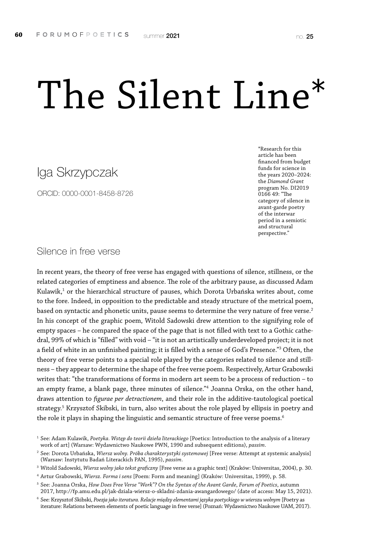# The Silent Line\*

# Iga Skrzypczak

ORCID: 0000-0001-8458-8726

\*Research for this article has been financed from budget funds for science in the years 2020–2024: the *Diamond Grant* program No. DI2019 0166 49: "The category of silence in avant-garde poetry of the interwar period in a semiotic and structural perspective."

Silence in free verse

In recent years, the theory of free verse has engaged with questions of silence, stillness, or the related categories of emptiness and absence. The role of the arbitrary pause, as discussed Adam Kulawik, $^{\text{1}}$  or the hierarchical structure of pauses, which Dorota Urbańska writes about, come to the fore. Indeed, in opposition to the predictable and steady structure of the metrical poem, based on syntactic and phonetic units, pause seems to determine the very nature of free verse.<sup>2</sup> In his concept of the graphic poem, Witold Sadowski drew attention to the signifying role of empty spaces – he compared the space of the page that is not filled with text to a Gothic cathedral, 99% of which is "filled" with void – "it is not an artistically underdeveloped project; it is not a field of white in an unfinished painting; it is filled with a sense of God's Presence."3 Often, the theory of free verse points to a special role played by the categories related to silence and stillness – they appear to determine the shape of the free verse poem. Respectively, Artur Grabowski writes that: "the transformations of forms in modern art seem to be a process of reduction – to an empty frame, a blank page, three minutes of silence."4 Joanna Orska, on the other hand, draws attention to *figurae per detractionem*, and their role in the additive-tautological poetical strategy.<sup>5</sup> Krzysztof Skibski, in turn, also writes about the role played by ellipsis in poetry and the role it plays in shaping the linguistic and semantic structure of free verse poems.<sup>6</sup>

<sup>1</sup> See: Adam Kulawik, *Poetyka. Wstęp do teorii dzieła literackiego* [Poetics: Introduction to the analysis of a literary work of art] (Warsaw: Wydawnictwo Naukowe PWN, 1990 and subsequent editions), *passim*.

<sup>2</sup> See: Dorota Urbańska, *Wiersz wolny. Próba charakterystyki systemowej* [Free verse: Attempt at systemic analysis] (Warsaw: Instytutu Badań Literackich PAN, 1995), *passim*.

<sup>3</sup> Witold Sadowski, *Wiersz wolny jako tekst graficzny* [Free verse as a graphic text] (Kraków: Universitas, 2004), p. 30.

<sup>4</sup> Artur Grabowski, *Wiersz. Forma i sens* [Poem: Form and meaning] (Kraków: Universitas, 1999), p. 58.

<sup>5</sup> See: Joanna Orska, *How Does Free Verse "Work"? On the Syntax of the Avant Garde*, *Forum of Poetics*, autumn 2017, http://fp.amu.edu.pl/jak-dziala-wiersz-o-skladni-zdania-awangardowego/ (date of access: May 15, 2021).

<sup>6</sup> See: Krzysztof Skibski, *Poezja jako iteratura. Relacje między elementami języka poetyckiego w wierszu wolnym* [Poetry as iterature: Relations between elements of poetic language in free verse] (Poznań: Wydawnictwo Naukowe UAM, 2017).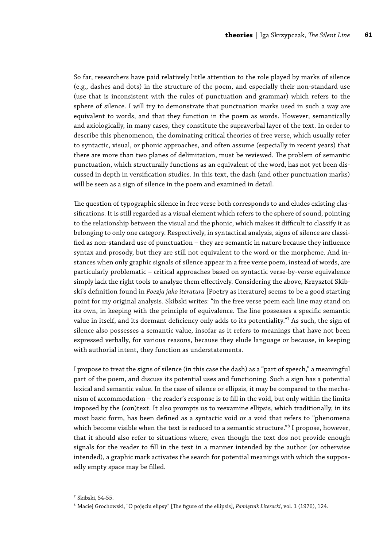So far, researchers have paid relatively little attention to the role played by marks of silence (e.g., dashes and dots) in the structure of the poem, and especially their non-standard use (use that is inconsistent with the rules of punctuation and grammar) which refers to the sphere of silence. I will try to demonstrate that punctuation marks used in such a way are equivalent to words, and that they function in the poem as words. However, semantically and axiologically, in many cases, they constitute the supraverbal layer of the text. In order to describe this phenomenon, the dominating critical theories of free verse, which usually refer to syntactic, visual, or phonic approaches, and often assume (especially in recent years) that there are more than two planes of delimitation, must be reviewed. The problem of semantic punctuation, which structurally functions as an equivalent of the word, has not yet been discussed in depth in versification studies. In this text, the dash (and other punctuation marks) will be seen as a sign of silence in the poem and examined in detail.

The question of typographic silence in free verse both corresponds to and eludes existing classifications. It is still regarded as a visual element which refers to the sphere of sound, pointing to the relationship between the visual and the phonic, which makes it difficult to classify it as belonging to only one category. Respectively, in syntactical analysis, signs of silence are classified as non-standard use of punctuation – they are semantic in nature because they influence syntax and prosody, but they are still not equivalent to the word or the morpheme. And instances when only graphic signals of silence appear in a free verse poem, instead of words, are particularly problematic – critical approaches based on syntactic verse-by-verse equivalence simply lack the right tools to analyze them effectively. Considering the above, Krzysztof Skibski's definition found in *Poezja jako iteratura* [Poetry as iterature] seems to be a good starting point for my original analysis. Skibski writes: "in the free verse poem each line may stand on its own, in keeping with the principle of equivalence. The line possesses a specific semantic value in itself, and its dormant deficiency only adds to its potentiality."7 As such, the sign of silence also possesses a semantic value, insofar as it refers to meanings that have not been expressed verbally, for various reasons, because they elude language or because, in keeping with authorial intent, they function as understatements.

I propose to treat the signs of silence (in this case the dash) as a "part of speech," a meaningful part of the poem, and discuss its potential uses and functioning. Such a sign has a potential lexical and semantic value. In the case of silence or ellipsis, it may be compared to the mechanism of accommodation – the reader's response is to fill in the void, but only within the limits imposed by the (con)text. It also prompts us to reexamine ellipsis, which traditionally, in its most basic form, has been defined as a syntactic void or a void that refers to "phenomena which become visible when the text is reduced to a semantic structure."8 I propose, however, that it should also refer to situations where, even though the text dos not provide enough signals for the reader to fill in the text in a manner intended by the author (or otherwise intended), a graphic mark activates the search for potential meanings with which the supposedly empty space may be filled.

<sup>7</sup> Skibski, 54-55.

<sup>8</sup> Maciej Grochowski, "O pojęciu elipsy" [The figure of the ellipsis], *Pamiętnik Literacki*, vol. 1 (1976), 124.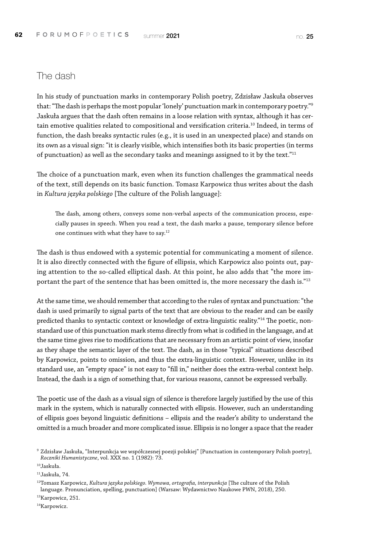### The dash

In his study of punctuation marks in contemporary Polish poetry, Zdzisław Jaskuła observes that: "The dash is perhaps the most popular 'lonely' punctuation mark in contemporary poetry."9 Jaskuła argues that the dash often remains in a loose relation with syntax, although it has certain emotive qualities related to compositional and versification criteria.<sup>10</sup> Indeed, in terms of function, the dash breaks syntactic rules (e.g., it is used in an unexpected place) and stands on its own as a visual sign: "it is clearly visible, which intensifies both its basic properties (in terms of punctuation) as well as the secondary tasks and meanings assigned to it by the text."11

The choice of a punctuation mark, even when its function challenges the grammatical needs of the text, still depends on its basic function. Tomasz Karpowicz thus writes about the dash in *Kultura języka polskiego* [The culture of the Polish language]:

The dash, among others, conveys some non-verbal aspects of the communication process, especially pauses in speech. When you read a text, the dash marks a pause, temporary silence before one continues with what they have to say.12

The dash is thus endowed with a systemic potential for communicating a moment of silence. It is also directly connected with the figure of ellipsis, which Karpowicz also points out, paying attention to the so-called elliptical dash. At this point, he also adds that "the more important the part of the sentence that has been omitted is, the more necessary the dash is."<sup>13</sup>

At the same time, we should remember that according to the rules of syntax and punctuation: "the dash is used primarily to signal parts of the text that are obvious to the reader and can be easily predicted thanks to syntactic context or knowledge of extra-linguistic reality."14 The poetic, nonstandard use of this punctuation mark stems directly from what is codified in the language, and at the same time gives rise to modifications that are necessary from an artistic point of view, insofar as they shape the semantic layer of the text. The dash, as in those "typical" situations described by Karpowicz, points to omission, and thus the extra-linguistic context. However, unlike in its standard use, an "empty space" is not easy to "fill in," neither does the extra-verbal context help. Instead, the dash is a sign of something that, for various reasons, cannot be expressed verbally.

The poetic use of the dash as a visual sign of silence is therefore largely justified by the use of this mark in the system, which is naturally connected with ellipsis. However, such an understanding of ellipsis goes beyond linguistic definitions – ellipsis and the reader's ability to understand the omitted is a much broader and more complicated issue. Ellipsis is no longer a space that the reader

14Karpowicz.

<sup>9</sup> Zdzisław Jaskuła, "Interpunkcja we współczesnej poezji polskiej" [Punctuation in contemporary Polish poetry], *Roczniki Humanistyczne*, vol. XXX no. 1 (1982): 73.

<sup>10</sup>Jaskuła.

<sup>11</sup>Jaskuła, 74.

<sup>12</sup>Tomasz Karpowicz, *Kultura języka polskiego. Wymowa, ortografia, interpunkcja* [The culture of the Polish language. Pronunciation, spelling, punctuation] (Warsaw: Wydawnictwo Naukowe PWN, 2018), 250.

<sup>&</sup>lt;sup>13</sup>Karpowicz, 251.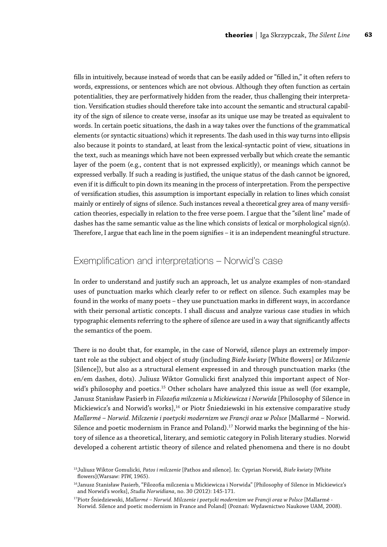fills in intuitively, because instead of words that can be easily added or "filled in," it often refers to words, expressions, or sentences which are not obvious. Although they often function as certain potentialities, they are performatively hidden from the reader, thus challenging their interpretation. Versification studies should therefore take into account the semantic and structural capability of the sign of silence to create verse, insofar as its unique use may be treated as equivalent to words. In certain poetic situations, the dash in a way takes over the functions of the grammatical elements (or syntactic situations) which it represents. The dash used in this way turns into ellipsis also because it points to standard, at least from the lexical-syntactic point of view, situations in the text, such as meanings which have not been expressed verbally but which create the semantic layer of the poem (e.g., content that is not expressed explicitly), or meanings which cannot be expressed verbally. If such a reading is justified, the unique status of the dash cannot be ignored, even if it is difficult to pin down its meaning in the process of interpretation. From the perspective of versification studies, this assumption is important especially in relation to lines which consist mainly or entirely of signs of silence. Such instances reveal a theoretical grey area of many versification theories, especially in relation to the free verse poem. I argue that the "silent line" made of dashes has the same semantic value as the line which consists of lexical or morphological sign(s). Therefore, I argue that each line in the poem signifies – it is an independent meaningful structure.

### Exemplification and interpretations – Norwid's case

In order to understand and justify such an approach, let us analyze examples of non-standard uses of punctuation marks which clearly refer to or reflect on silence. Such examples may be found in the works of many poets – they use punctuation marks in different ways, in accordance with their personal artistic concepts. I shall discuss and analyze various case studies in which typographic elements referring to the sphere of silence are used in a way that significantly affects the semantics of the poem.

There is no doubt that, for example, in the case of Norwid, silence plays an extremely important role as the subject and object of study (including *Białe kwiaty* [White flowers] or *Milczenie* [Silence]), but also as a structural element expressed in and through punctuation marks (the en/em dashes, dots). Juliusz Wiktor Gomulicki first analyzed this important aspect of Norwid's philosophy and poetics.<sup>15</sup> Other scholars have analyzed this issue as well (for example, Janusz Stanisław Pasierb in *Filozofia milczenia u Mickiewicza i Norwida* [Philosophy of Silence in Mickiewicz's and Norwid's works],<sup>16</sup> or Piotr Śniedziewski in his extensive comparative study *Mallarmé – Norwid. Milczenie i poetycki modernizm we Francji oraz w Polsce* [Mallarmé *–* Norwid. Silence and poetic modernism in France and Poland).<sup>17</sup> Norwid marks the beginning of the history of silence as a theoretical, literary, and semiotic category in Polish literary studies. Norwid developed a coherent artistic theory of silence and related phenomena and there is no doubt

<sup>15</sup>Juliusz Wiktor Gomulicki, *Patos i milczenie* [Pathos and silence]. In: Cyprian Norwid, *Białe kwiaty* [White flowers](Warsaw: PIW, 1965).

<sup>16</sup>Janusz Stanisław Pasierb, "Filozofia milczenia u Mickiewicza i Norwida" [Philosophy of Silence in Mickiewicz's and Norwid's works], *Studia Norwidiana*, no. 30 (2012): 145-171.

<sup>17</sup>Piotr Śniedziewski, *Mallarmé – Norwid. Milczenie i poetycki modernizm we Francji oraz w Polsce* [Mallarmé - Norwid. Silence and poetic modernism in France and Poland] (Poznań: Wydawnictwo Naukowe UAM, 2008).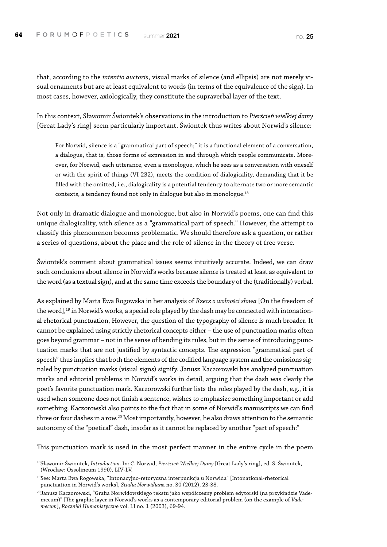that, according to the *intentio auctoris*, visual marks of silence (and ellipsis) are not merely visual ornaments but are at least equivalent to words (in terms of the equivalence of the sign). In most cases, however, axiologically, they constitute the supraverbal layer of the text.

In this context, Sławomir Świontek's observations in the introduction to *Pierścień wielkiej damy* [Great Lady's ring] seem particularly important. Świontek thus writes about Norwid's silence:

For Norwid, silence is a "grammatical part of speech;" it is a functional element of a conversation, a dialogue, that is, those forms of expression in and through which people communicate. Moreover, for Norwid, each utterance, even a monologue, which he sees as a conversation with oneself or with the spirit of things (VI 232), meets the condition of dialogicality, demanding that it be filled with the omitted, i.e., dialogicality is a potential tendency to alternate two or more semantic contexts, a tendency found not only in dialogue but also in monologue.<sup>18</sup>

Not only in dramatic dialogue and monologue, but also in Norwid's poems, one can find this unique dialogicality, with silence as a "grammatical part of speech." However, the attempt to classify this phenomenon becomes problematic. We should therefore ask a question, or rather a series of questions, about the place and the role of silence in the theory of free verse.

Świontek's comment about grammatical issues seems intuitively accurate. Indeed, we can draw such conclusions about silence in Norwid's works because silence is treated at least as equivalent to the word (as a textual sign), and at the same time exceeds the boundary of the (traditionally) verbal.

As explained by Marta Ewa Rogowska in her analysis of *Rzecz o wolności słowa* [On the freedom of the word],<sup>19</sup> in Norwid's works, a special role played by the dash may be connected with intonational-rhetorical punctuation, However, the question of the typography of silence is much broader. It cannot be explained using strictly rhetorical concepts either – the use of punctuation marks often goes beyond grammar – not in the sense of bending its rules, but in the sense of introducing punctuation marks that are not justified by syntactic concepts. The expression "grammatical part of speech" thus implies that both the elements of the codified language system and the omissions signaled by punctuation marks (visual signs) signify. Janusz Kaczorowski has analyzed punctuation marks and editorial problems in Norwid's works in detail, arguing that the dash was clearly the poet's favorite punctuation mark. Kaczorowski further lists the roles played by the dash, e.g., it is used when someone does not finish a sentence, wishes to emphasize something important or add something. Kaczorowski also points to the fact that in some of Norwid's manuscripts we can find three or four dashes in a row.<sup>20</sup> Most importantly, however, he also draws attention to the semantic autonomy of the "poetical" dash, insofar as it cannot be replaced by another "part of speech:"

This punctuation mark is used in the most perfect manner in the entire cycle in the poem

<sup>18</sup>Sławomir Świontek, *Introduction*. In: C. Norwid, *Pierścień Wielkiej Damy* [Great Lady's ring], ed. S. Świontek, (Wrocław: Ossolineum 1990), LIV-LV.

<sup>19</sup>See: Marta Ewa Rogowska, "Intonacyjno-retoryczna interpunkcja u Norwida" [Intonational-rhetorical punctuation in Norwid's works], *Studia Norwidian*a no. 30 (2012), 23-38.

<sup>&</sup>lt;sup>20</sup>Janusz Kaczorowski, "Grafia Norwidowskiego tekstu jako współczesny problem edytorski (na przykładzie Vademecum)" [The graphic layer in Norwid's works as a contemporary editorial problem (on the example of *Vademecum*], *Roczniki Humanistyczn*e vol. LI no. 1 (2003), 69-94.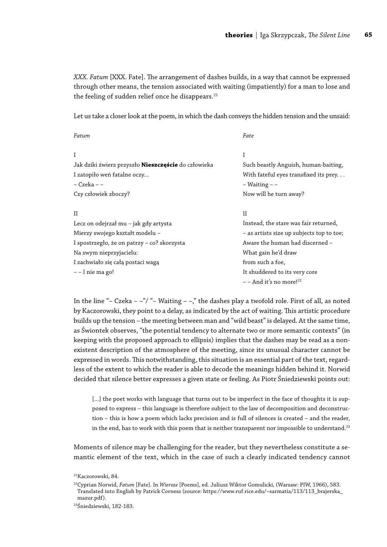*XXX. Fatum* [XXX. Fate]. The arrangement of dashes builds, in a way that cannot be expressed through other means, the tension associated with waiting (impatiently) for a man to lose and the feeling of sudden relief once he disappears. $^{21}$ 

Let us take a closer look at the poem, in which the dash conveys the hidden tension and the unsaid:

| Fatum                                                      | Fate                                      |
|------------------------------------------------------------|-------------------------------------------|
| Ι                                                          | I                                         |
| Jak dziki źwierz przyszło <b>Nieszczęście</b> do człowieka | Such beastly Anguish, human-baiting,      |
| I zatopiło weń fatalne oczy                                | With fateful eyes transfixed its prey     |
| – Czeka – –                                                | $-$ Waiting $ -$                          |
| Czy człowiek zboczy?                                       | Now will he turn away?                    |
| П                                                          | H                                         |
| Lecz on odejrzał mu – jak gdy artysta                      | Instead, the stare was fair returned,     |
| Mierzy swojego kształt modelu –                            | - as artists size up subjects top to toe; |
| I spostrzegło, że on patrzy – co? skorzysta                | Aware the human had discerned -           |
| Na swym nieprzyjacielu:                                    | What gain he'd draw                       |
| I zachwiało się całą postaci wagą                          | from such a foe,                          |
| - - I nie ma go!                                           | It shuddered to its very core             |
|                                                            | $-$ - And it's no more! <sup>22</sup>     |

In the line "– Czeka – –"/" – Waiting – –," the dashes play a twofold role. First of all, as noted by Kaczorowski, they point to a delay, as indicated by the act of waiting. This artistic procedure builds up the tension – the meeting between man and "wild beast" is delayed. At the same time, as Świontek observes, "the potential tendency to alternate two or more semantic contexts" (in keeping with the proposed approach to ellipsis) implies that the dashes may be read as a nonexistent description of the atmosphere of the meeting, since its unusual character cannot be expressed in words. This notwithstanding, this situation is an essential part of the text, regardless of the extent to which the reader is able to decode the meanings hidden behind it. Norwid decided that silence better expresses a given state or feeling. As Piotr Śniedziewski points out:

[...] the poet works with language that turns out to be imperfect in the face of thoughts it is supposed to express – this language is therefore subject to the law of decomposition and deconstruction – this is how a poem which lacks precision and is full of silences is created – and the reader, in the end, has to work with this poem that is neither transparent nor impossible to understand.<sup>23</sup>

Moments of silence may be challenging for the reader, but they nevertheless constitute a semantic element of the text, which in the case of such a clearly indicated tendency cannot

<sup>21</sup>Kaczorowski, 84.

<sup>22</sup>Cyprian Norwid, *Fatum* [Fate]. In *Wiersze* [Poems], ed. Juliusz Wiktor Gomulicki, (Warsaw: PIW, 1966), 583. Translated into English by Patrick Corness (source: https://www.ruf.rice.edu/~sarmatia/113/113\_brajerska\_ mazur.pdf).

<sup>23</sup>Śniedziewski, 182-183.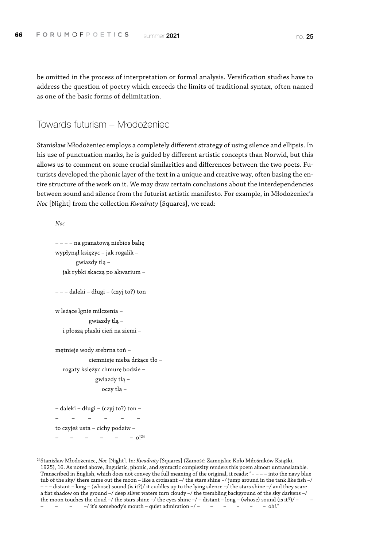be omitted in the process of interpretation or formal analysis. Versification studies have to address the question of poetry which exceeds the limits of traditional syntax, often named as one of the basic forms of delimitation.

Towards futurism – Młodożeniec

Stanisław Młodożeniec employs a completely different strategy of using silence and ellipsis. In his use of punctuation marks, he is guided by different artistic concepts than Norwid, but this allows us to comment on some crucial similarities and differences between the two poets. Futurists developed the phonic layer of the text in a unique and creative way, often basing the entire structure of the work on it. We may draw certain conclusions about the interdependencies between sound and silence from the futurist artistic manifesto. For example, in Młodożeniec's *Noc* [Night] from the collection *Kwadraty* [Squares], we read:

*Noc*

```
– – – – na granatową niebios balię
wypłynął księżyc – jak rogalik – 
        gwiazdy tlą – 
  jak rybki skaczą po akwarium – 
– – – daleki – długi – (czyj to?) ton
w leżące lgnie milczenia – 
             gwiazdy tlą – 
  i płoszą płaski cień na ziemi – 
mętnieje wody srebrna toń –
```
ciemnieje nieba drżące tło – rogaty księżyc chmurę bodzie – gwiazdy tlą – oczy tlą –

– daleki – długi – (czyj to?) ton – – – – – – – to czyjeś usta – cichy podziw –  $-$  0!<sup>24</sup>

24Stanisław Młodożeniec, *Noc* [Night]. In: *Kwadraty* [Squares] (Zamość: Zamojskie Koło Miłośników Książki, 1925), 16. As noted above, linguistic, phonic, and syntactic complexity renders this poem almost untranslatable. Transcribed in English, which does not convey the full meaning of the original, it reads: "– – – – into the navy blue tub of the sky/ there came out the moon – like a croissant –/ the stars shine –/ jump around in the tank like fish –/ – – – distant – long – (whose) sound (is it?)/ it cuddles up to the lying silence –/ the stars shine –/ and they scare a flat shadow on the ground –/ deep silver waters turn cloudy –/ the trembling background of the sky darkens –/ the moon touches the cloud –/ the stars shine –/ the eyes shine –/ – distant – long – (whose) sound (is it?)/ –  $-/-$  it's somebody's mouth – quiet admiration –/ – – – – – – – – oh!.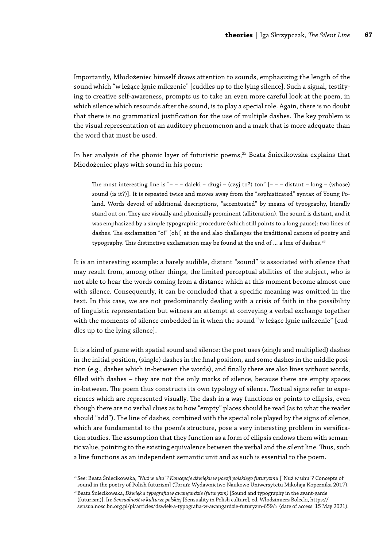Importantly, Młodożeniec himself draws attention to sounds, emphasizing the length of the sound which "w leżące lgnie milczenie" [cuddles up to the lying silence]. Such a signal, testifying to creative self-awareness, prompts us to take an even more careful look at the poem, in which silence which resounds after the sound, is to play a special role. Again, there is no doubt that there is no grammatical justification for the use of multiple dashes. The key problem is the visual representation of an auditory phenomenon and a mark that is more adequate than the word that must be used.

In her analysis of the phonic layer of futuristic poems,<sup>25</sup> Beata Śniecikowska explains that Młodożeniec plays with sound in his poem:

The most interesting line is "– – – daleki – długi – (czyj to?) ton" [– – – distant – long – (whose) sound (is it?)]. It is repeated twice and moves away from the "sophisticated" syntax of Young Poland. Words devoid of additional descriptions, "accentuated" by means of typography, literally stand out on. They are visually and phonically prominent (alliteration). The sound is distant, and it was emphasized by a simple typographic procedure (which still points to a long pause): two lines of dashes. The exclamation "o!" [oh!] at the end also challenges the traditional canons of poetry and typography. This distinctive exclamation may be found at the end of ... a line of dashes.<sup>26</sup>

It is an interesting example: a barely audible, distant "sound" is associated with silence that may result from, among other things, the limited perceptual abilities of the subject, who is not able to hear the words coming from a distance which at this moment become almost one with silence. Consequently, it can be concluded that a specific meaning was omitted in the text. In this case, we are not predominantly dealing with a crisis of faith in the possibility of linguistic representation but witness an attempt at conveying a verbal exchange together with the moments of silence embedded in it when the sound "w leżące lgnie milczenie" [cuddles up to the lying silence].

It is a kind of game with spatial sound and silence: the poet uses (single and multiplied) dashes in the initial position, (single) dashes in the final position, and some dashes in the middle position (e.g., dashes which in-between the words), and finally there are also lines without words, filled with dashes – they are not the only marks of silence, because there are empty spaces in-between. The poem thus constructs its own typology of silence. Textual signs refer to experiences which are represented visually. The dash in a way functions or points to ellipsis, even though there are no verbal clues as to how "empty" places should be read (as to what the reader should "add"). The line of dashes, combined with the special role played by the signs of silence, which are fundamental to the poem's structure, pose a very interesting problem in versification studies. The assumption that they function as a form of ellipsis endows them with semantic value, pointing to the existing equivalence between the verbal and the silent line. Thus, such a line functions as an independent semantic unit and as such is essential to the poem.

25See: Beata Śniecikowska, *"Nuż w uhu"? Koncepcje dźwięku w poezji polskiego futuryzmu* ["Nuż w uhu"? Concepts of sound in the poetry of Polish futurism] (Toruń: Wydawnictwo Naukowe Uniwersytetu Mikołaja Kopernika 2017).

26Beata Śniecikowska, *Dźwięk a typografia w awangardzie (futuryzm)* [Sound and typography in the avant-garde (futurism)]. In: *Sensualność w kulturze polskiej* [Sensuality in Polish culture], ed. Włodzimierz Bolecki, [https://](https://sensualnosc.bn.org.pl/pl/articles/dzwiek-a-typografia-w-awangardzie-futuryzm-659/) [sensualnosc.bn.org.pl/pl/articles/dzwiek-a-typografia-w-awangardzie-futuryzm-659/](https://sensualnosc.bn.org.pl/pl/articles/dzwiek-a-typografia-w-awangardzie-futuryzm-659/)> (date of access: 15 May 2021).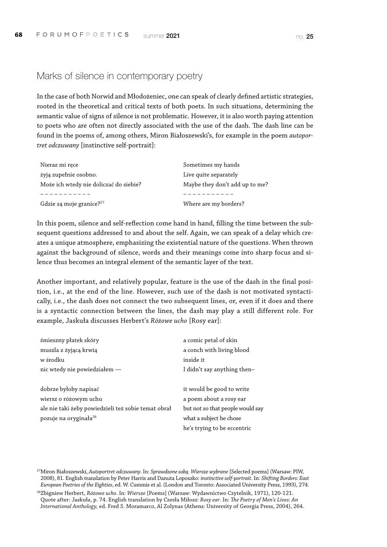### Marks of silence in contemporary poetry

In the case of both Norwid and Młodożeniec, one can speak of clearly defined artistic strategies, rooted in the theoretical and critical texts of both poets. In such situations, determining the semantic value of signs of silence is not problematic. However, it is also worth paying attention to poets who are often not directly associated with the use of the dash. The dash line can be found in the poems of, among others, Miron Białoszewski's, for example in the poem *autoportret odczuwany* [instinctive self-portrait]:

| Nieraz mi ręce                         | Sometimes my hands             |
|----------------------------------------|--------------------------------|
| żyją zupełnie osobno.                  | Live quite separately          |
| Może ich wtedy nie doliczać do siebie? | Maybe they don't add up to me? |
|                                        |                                |
| Gdzie są moje granice? <sup>27</sup>   | Where are my borders?          |

In this poem, silence and self-reflection come hand in hand, filling the time between the subsequent questions addressed to and about the self. Again, we can speak of a delay which creates a unique atmosphere, emphasizing the existential nature of the questions. When thrown against the background of silence, words and their meanings come into sharp focus and silence thus becomes an integral element of the semantic layer of the text.

Another important, and relatively popular, feature is the use of the dash in the final position, i.e., at the end of the line. However, such use of the dash is not motivated syntactically, i.e., the dash does not connect the two subsequent lines, or, even if it does and there is a syntactic connection between the lines, the dash may play a still different role. For example, Jaskuła discusses Herbert's *Różowe ucho* [Rosy ear]:

| śmieszny płatek skóry                               | a comic petal of skin            |
|-----------------------------------------------------|----------------------------------|
| muszla z żyjącą krwią                               | a conch with living blood        |
| w środku                                            | inside it                        |
| nic wtedy nie powiedziałem -                        | I didn't say anything then-      |
|                                                     |                                  |
| dobrze byłoby napisać                               | it would be good to write        |
| wiersz o różowym uchu                               | a poem about a rosy ear          |
| ale nie taki żeby powiedzieli też sobie temat obrał | but not so that people would say |
| pozuje na oryginała <sup>28</sup>                   | what a subject he chose          |
|                                                     | he's trying to be eccentric      |

27Miron Białoszewski, *Autoportret odczuwany*. In: *Sprawdzone sobą. Wiersze wybrane* [Selected poems] (Warsaw: PIW, 2008), 81. English translation by Peter Harris and Danuta Loposzko: *instinctive self-portrait*. In: *Shifting Borders: East European Poetries of the Eighties*, ed. W. Cummis et al. (London and Toronto: Associated University Press, 1993), 274.

28Zbigniew Herbert, *Różowe ucho*. In: *Wiersze* [Poems] (Warsaw: Wydawnictwo Czytelnik, 1971), 120-121. Quote after: Jaskuła, p. 74. English translation by Czesła Miłosz: *Rosy ear*. In: *The Poetry of Men's Lives: An International Anthology,* ed. Fred S. Moramarco, Al Zolynas (Athens: University of Georgia Press, 2004), 264.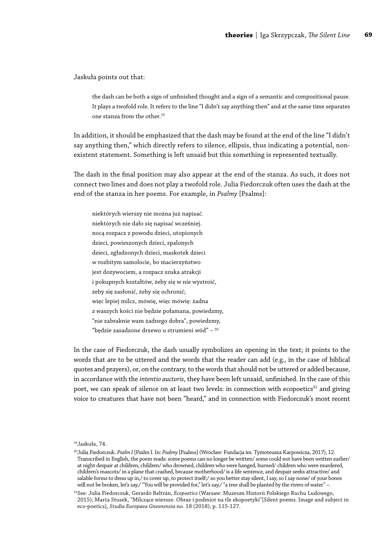Jaskuła points out that:

the dash can be both a sign of unfinished thought and a sign of a semantic and compositional pause. It plays a twofold role. It refers to the line "I didn't say anything then" and at the same time separates one stanza from the other.29

In addition, it should be emphasized that the dash may be found at the end of the line "I didn't say anything then," which directly refers to silence, ellipsis, thus indicating a potential, nonexistent statement. Something is left unsaid but this something is represented textually.

The dash in the final position may also appear at the end of the stanza. As such, it does not connect two lines and does not play a twofold role. Julia Fiedorczuk often uses the dash at the end of the stanza in her poems. For example, in *Psalmy* [Psalms]:

niektórych wierszy nie można już napisać. niektórych nie dało się napisać wcześniej. nocą rozpacz z powodu dzieci, utopionych dzieci, powieszonych dzieci, spalonych dzieci, zgładzonych dzieci, maskotek dzieci w rozbitym samolocie, bo macierzyństwo jest dożywociem, a rozpacz szuka atrakcji i pokupnych kształtów, żeby się w nie wystroić, żeby się zasłonić, żeby się ochronić; więc lepiej milcz, mówię, więc mówię: żadna z waszych kości nie będzie połamana, powiedzmy, "nie zabraknie wam żadnego dobra", powiedzmy, "będzie zasadzone drzewo u strumieni wód" – 30

In the case of Fiedorczuk, the dash usually symbolizes an opening in the text; it points to the words that are to be uttered and the words that the reader can add (e.g., in the case of biblical quotes and prayers), or, on the contrary, to the words that should not be uttered or added because, in accordance with the *intentio auctoris*, they have been left unsaid, unfinished. In the case of this poet, we can speak of silence on at least two levels: in connection with ecopoetics<sup>31</sup> and giving voice to creatures that have not been "heard," and in connection with Fiedorczuk's most recent

29Jaskuła, 74.

<sup>30</sup>Julia Fiedorczuk. *Psalm I* [Psalm I. In: *Psalmy* [Psalms] (Wrocław: Fundacja im. Tymoteusza Karpowicza, 2017), 12. Transcribed in English, the poem reads: some poems can no longer be written/ some could not have been written earlier/ at night despair at children, children/ who drowned, children who were hanged, burned/ children who were murdered, children's mascots/ in a plane that crashed, because motherhood/ is a life sentence, and despair seeks attractive/ and salable forms to dress up in,/ to cover up, to protect itself;/ so you better stay silent, I say, so I say none/ of your bones will not be broken, let's say,/ "You will be provided for," let's say,/ "a tree shall be planted by the rivers of water" -.

<sup>31</sup>See: Julia Fiedorczuk, Gerardo Beltrán, *Ecopoetics* (Warsaw: Muzeum Historii Polskiego Ruchu Ludowego, 2015); Marta Stusek, "Milczące wiersze. Obraz i podmiot na tle ekopoetyki"[Silent poems. Image and subject in eco-poetics], *Studia Europaea Gnesnensia* no. 18 (2018), p. 115-127.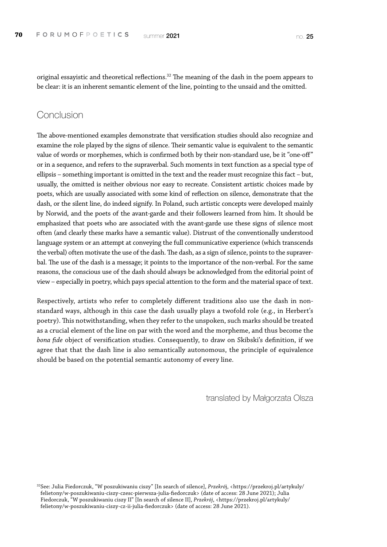original essayistic and theoretical reflections.<sup>32</sup> The meaning of the dash in the poem appears to be clear: it is an inherent semantic element of the line, pointing to the unsaid and the omitted.

#### **Conclusion**

The above-mentioned examples demonstrate that versification studies should also recognize and examine the role played by the signs of silence. Their semantic value is equivalent to the semantic value of words or morphemes, which is confirmed both by their non-standard use, be it "one-off" or in a sequence, and refers to the supraverbal. Such moments in text function as a special type of ellipsis – something important is omitted in the text and the reader must recognize this fact – but, usually, the omitted is neither obvious nor easy to recreate. Consistent artistic choices made by poets, which are usually associated with some kind of reflection on silence, demonstrate that the dash, or the silent line, do indeed signify. In Poland, such artistic concepts were developed mainly by Norwid, and the poets of the avant-garde and their followers learned from him. It should be emphasized that poets who are associated with the avant-garde use these signs of silence most often (and clearly these marks have a semantic value). Distrust of the conventionally understood language system or an attempt at conveying the full communicative experience (which transcends the verbal) often motivate the use of the dash. The dash, as a sign of silence, points to the supraverbal. The use of the dash is a message; it points to the importance of the non-verbal. For the same reasons, the conscious use of the dash should always be acknowledged from the editorial point of view – especially in poetry, which pays special attention to the form and the material space of text.

Respectively, artists who refer to completely different traditions also use the dash in nonstandard ways, although in this case the dash usually plays a twofold role (e.g., in Herbert's poetry). This notwithstanding, when they refer to the unspoken, such marks should be treated as a crucial element of the line on par with the word and the morpheme, and thus become the *bona fide* object of versification studies. Consequently, to draw on Skibski's definition, if we agree that that the dash line is also semantically autonomous, the principle of equivalence should be based on the potential semantic autonomy of every line.

translated by Małgorzata Olsza

32See: Julia Fiedorczuk, "W poszukiwaniu ciszy" [In search of silence], *Przekró*j, <[https://przekroj.pl/artykuly/](https://przekroj.pl/artykuly/felietony/w-poszukiwaniu-ciszy-czesc-pierwsza-julia-fiedorczuk) [felietony/w-poszukiwaniu-ciszy-czesc-pierwsza-julia-fiedorczuk](https://przekroj.pl/artykuly/felietony/w-poszukiwaniu-ciszy-czesc-pierwsza-julia-fiedorczuk)> (date of access: 28 June 2021); Julia Fiedorczuk, "W poszukiwaniu ciszy II" [In search of silence II], *Przekrój*, <[https://przekroj.pl/artykuly/](https://przekroj.pl/artykuly/felietony/w-poszukiwaniu-ciszy-cz-ii-julia-fiedorczuk) [felietony/w-poszukiwaniu-ciszy-cz-ii-julia-fiedorczuk>](https://przekroj.pl/artykuly/felietony/w-poszukiwaniu-ciszy-cz-ii-julia-fiedorczuk) (date of access: 28 June 2021).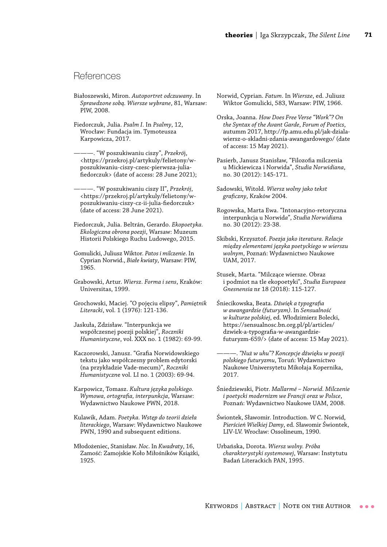### **References**

- Białoszewski, Miron. *Autoportret odczuwany*. In *Sprawdzone sobą. Wiersze wybrane*, 81, Warsaw: PIW, 2008.
- Fiedorczuk, Julia. *Psalm I*. In *Psalmy*, 12, Wrocław: Fundacja im. Tymoteusza Karpowicza, 2017.
- ———. "W poszukiwaniu ciszy", *Przekró*j, <[https://przekroj.pl/artykuly/felietony/w](https://przekroj.pl/artykuly/felietony/w-poszukiwaniu-ciszy-czesc-pierwsza-julia-fiedorczuk)[poszukiwaniu-ciszy-czesc-pierwsza-julia](https://przekroj.pl/artykuly/felietony/w-poszukiwaniu-ciszy-czesc-pierwsza-julia-fiedorczuk)[fiedorczuk>](https://przekroj.pl/artykuly/felietony/w-poszukiwaniu-ciszy-czesc-pierwsza-julia-fiedorczuk) (date of access: 28 June 2021);
- ———. "W poszukiwaniu ciszy II", *Przekrój*, <[https://przekroj.pl/artykuly/felietony/w](https://przekroj.pl/artykuly/felietony/w-poszukiwaniu-ciszy-cz-ii-julia-fiedorczuk)[poszukiwaniu-ciszy-cz-ii-julia-fiedorczuk>](https://przekroj.pl/artykuly/felietony/w-poszukiwaniu-ciszy-cz-ii-julia-fiedorczuk) (date of access: 28 June 2021).
- Fiedorczuk, Julia. Beltrán, Gerardo. *Ekopoetyka. Ekologiczna obrona poezji*, Warsaw: Muzeum Historii Polskiego Ruchu Ludowego, 2015.
- Gomulicki, Juliusz Wiktor. *Patos i milczenie*. In Cyprian Norwid., *Białe kwiaty*, Warsaw: PIW, 1965.
- Grabowski, Artur. *Wiersz. Forma i sens*, Kraków: Universitas, 1999.
- Grochowski, Maciej. "O pojęciu elipsy", *Pamiętnik Literacki*, vol. 1 (1976): 121-136.
- Jaskuła, Zdzisław. "Interpunkcja we współczesnej poezji polskiej", *Roczniki Humanistyczne*, vol. XXX no. 1 (1982): 69-99.
- Kaczorowski, Janusz. "Grafia Norwidowskiego tekstu jako współczesny problem edytorski (na przykładzie Vade-mecum)", *Roczniki Humanistyczn*e vol. LI no. 1 (2003): 69-94.
- Karpowicz, Tomasz. *Kultura języka polskiego. Wymowa, ortografia, interpunkcja*, Warsaw: Wydawnictwo Naukowe PWN, 2018.
- Kulawik, Adam. *Poetyka. Wstęp do teorii dzieła literackiego*, Warsaw: Wydawnictwo Naukowe PWN, 1990 and subsequent editions.
- Młodożeniec, Stanisław. *Noc*. In *Kwadraty*, 16, Zamość: Zamojskie Koło Miłośników Książki, 1925.
- Norwid, Cyprian. *Fatum*. In *Wiersze*, ed. Juliusz Wiktor Gomulicki, 583, Warsaw: PIW, 1966.
- Orska, Joanna. *How Does Free Verse "Work"? On the Syntax of the Avant Garde*, *Forum of Poetics*, autumm 2017, http://fp.amu.edu.pl/jak-dzialawiersz-o-skladni-zdania-awangardowego/ (date of access: 15 May 2021).
- Pasierb, Janusz Stanisław, "Filozofia milczenia u Mickiewicza i Norwida", *Studia Norwidiana*, no. 30 (2012): 145-171.
- Sadowski, Witold. *Wiersz wolny jako tekst graficzny*, Kraków 2004.
- Rogowska, Marta Ewa. "Intonacyjno-retoryczna interpunkcja u Norwid*a*", *Studia Norwidian*a no. 30 (2012): 23-38.
- Skibski, Krzysztof. *Poezja jako iteratura. Relacje między elementami języka poetyckiego w wierszu wolnym*, Poznań: Wydawnictwo Naukowe UAM, 2017.
- Stusek, Marta. "Milczące wiersze. Obraz i podmiot na tle ekopoetyki", *Studia Europaea Gnesnensia* nr 18 (2018): 115-127.
- Śniecikowska, Beata. *Dźwięk a typografia w awangardzie (futuryzm)*. In *Sensualność w kulturze polskiej*, ed. Włodzimierz Bolecki, [https://sensualnosc.bn.org.pl/pl/articles/](https://sensualnosc.bn.org.pl/pl/articles/dzwiek-a-typografia-w-awangardzie-futuryzm-659/) [dzwiek-a-typografia-w-awangardzie](https://sensualnosc.bn.org.pl/pl/articles/dzwiek-a-typografia-w-awangardzie-futuryzm-659/)[futuryzm-659/](https://sensualnosc.bn.org.pl/pl/articles/dzwiek-a-typografia-w-awangardzie-futuryzm-659/)> (date of access: 15 May 2021).
	- ———. *"Nuż w uhu"? Koncepcje dźwięku w poezji polskiego futuryzmu*, Toruń: Wydawnictwo Naukowe Uniwersytetu Mikołaja Kopernika, 2017.
- Śniedziewski, Piotr. *Mallarmé Norwid. Milczenie i poetycki modernizm we Francji oraz w Polsce*, Poznań: Wydawnictwo Naukowe UAM, 2008.
- Świontek, Sławomir. Introduction. W C. Norwid, *Pierścień Wielkiej Damy*, ed. Sławomir Świontek, LIV-LV. Wrocław: Ossolineum, 1990.
- Urbańska, Dorota. *Wiersz wolny. Próba charakterystyki systemowej*, Warsaw: Instytutu Badań Literackich PAN, 1995.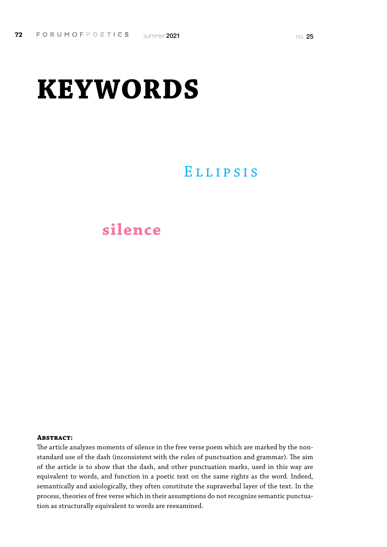# **KEYWORDS**

# Ellipsis

# **silence**

#### **Abstract:**

The article analyzes moments of silence in the free verse poem which are marked by the nonstandard use of the dash (inconsistent with the rules of punctuation and grammar). The aim of the article is to show that the dash, and other punctuation marks, used in this way are equivalent to words, and function in a poetic text on the same rights as the word. Indeed, semantically and axiologically, they often constitute the supraverbal layer of the text. In the process, theories of free verse which in their assumptions do not recognize semantic punctuation as structurally equivalent to words are reexamined.